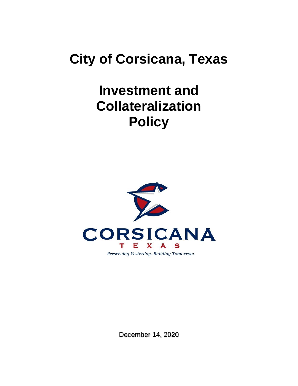# **City of Corsicana, Texas**

# **Investment and Collateralization Policy**



December 14, 2020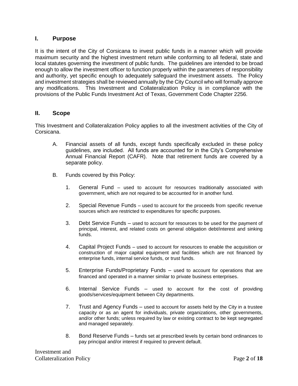### **I. Purpose**

It is the intent of the City of Corsicana to invest public funds in a manner which will provide maximum security and the highest investment return while conforming to all federal, state and local statutes governing the investment of public funds. The guidelines are intended to be broad enough to allow the investment officer to function properly within the parameters of responsibility and authority, yet specific enough to adequately safeguard the investment assets. The Policy and investment strategies shall be reviewed annually by the City Council who will formally approve any modifications. This Investment and Collateralization Policy is in compliance with the provisions of the Public Funds Investment Act of Texas, Government Code Chapter 2256.

#### **II. Scope**

This Investment and Collateralization Policy applies to all the investment activities of the City of Corsicana.

- A. Financial assets of all funds, except funds specifically excluded in these policy guidelines, are included. All funds are accounted for in the City's Comprehensive Annual Financial Report (CAFR). Note that retirement funds are covered by a separate policy.
- B. Funds covered by this Policy:
	- 1. General Fund used to account for resources traditionally associated with government, which are not required to be accounted for in another fund.
	- 2. Special Revenue Funds used to account for the proceeds from specific revenue sources which are restricted to expenditures for specific purposes.
	- 3. Debt Service Funds used to account for resources to be used for the payment of principal, interest, and related costs on general obligation debt/interest and sinking funds.
	- 4. Capital Project Funds used to account for resources to enable the acquisition or construction of major capital equipment and facilities which are not financed by enterprise funds, internal service funds, or trust funds.
	- 5. Enterprise Funds/Proprietary Funds used to account for operations that are financed and operated in a manner similar to private business enterprises.
	- 6. Internal Service Funds used to account for the cost of providing goods/services/equipment between City departments.
	- 7. Trust and Agency Funds used to account for assets held by the City in a trustee capacity or as an agent for individuals, private organizations, other governments, and/or other funds; unless required by law or existing contract to be kept segregated and managed separately.
	- 8. Bond Reserve Funds funds set at prescribed levels by certain bond ordinances to pay principal and/or interest if required to prevent default.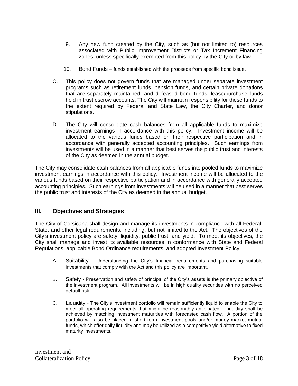- 9. Any new fund created by the City, such as (but not limited to) resources associated with Public Improvement Districts or Tax Increment Financing zones, unless specifically exempted from this policy by the City or by law.
- 10. Bond Funds funds established with the proceeds from specific bond issue.
- C. This policy does not govern funds that are managed under separate investment programs such as retirement funds, pension funds, and certain private donations that are separately maintained, and defeased bond funds, lease/purchase funds held in trust escrow accounts. The City will maintain responsibility for these funds to the extent required by Federal and State Law, the City Charter, and donor stipulations.
- D. The City will consolidate cash balances from all applicable funds to maximize investment earnings in accordance with this policy. Investment income will be allocated to the various funds based on their respective participation and in accordance with generally accepted accounting principles. Such earnings from investments will be used in a manner that best serves the public trust and interests of the City as deemed in the annual budget.

The City may consolidate cash balances from all applicable funds into pooled funds to maximize investment earnings in accordance with this policy. Investment income will be allocated to the various funds based on their respective participation and in accordance with generally accepted accounting principles. Such earnings from investments will be used in a manner that best serves the public trust and interests of the City as deemed in the annual budget.

## **III. Objectives and Strategies**

The City of Corsicana shall design and manage its investments in compliance with all Federal, State, and other legal requirements, including, but not limited to the Act. The objectives of the City's investment policy are safety, liquidity, public trust, and yield. To meet its objectives, the City shall manage and invest its available resources in conformance with State and Federal Regulations, applicable Bond Ordinance requirements, and adopted Investment Policy.

- A. Suitability Understanding the City's financial requirements and purchasing suitable investments that comply with the Act and this policy are important.
- B. Safety Preservation and safety of principal of the City's assets is the primary objective of the investment program. All investments will be in high quality securities with no perceived default risk.
- C. Liquidity The City's investment portfolio will remain sufficiently liquid to enable the City to meet all operating requirements that might be reasonably anticipated. Liquidity shall be achieved by matching investment maturities with forecasted cash flow. A portion of the portfolio will also be placed in short term investment pools and/or money market mutual funds, which offer daily liquidity and may be utilized as a competitive yield alternative to fixed maturity investments.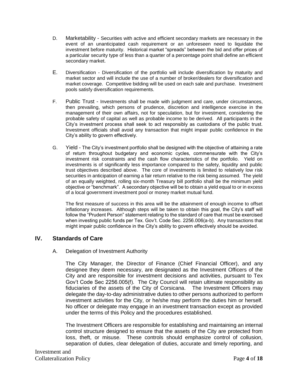- D. Marketability Securities with active and efficient secondary markets are necessary in the event of an unanticipated cash requirement or an unforeseen need to liquidate the investment before maturity. Historical market "spreads" between the bid and offer prices of a particular security type of less than a quarter of a percentage point shall define an efficient secondary market.
- E. Diversification Diversification of the portfolio will include diversification by maturity and market sector and will include the use of a number of broker/dealers for diversification and market coverage. Competitive bidding will be used on each sale and purchase. Investment pools satisfy diversification requirements.
- F. Public Trust Investments shall be made with judgment and care, under circumstances, then prevailing, which persons of prudence, discretion and intelligence exercise in the management of their own affairs, not for speculation, but for investment, considering the probable safety of capital as well as probable income to be derived. All participants in the City's investment process shall seek to act responsibly as custodians of the public trust. Investment officials shall avoid any transaction that might impair public confidence in the City's ability to govern effectively.
- G. Yield The City's investment portfolio shall be designed with the objective of attaining a rate of return throughout budgetary and economic cycles, commensurate with the City's investment risk constraints and the cash flow characteristics of the portfolio. Yield on investments is of significantly less importance compared to the safety, liquidity and public trust objectives described above. The core of investments is limited to relatively low risk securities in anticipation of earning a fair return relative to the risk being assumed. The yield of an equally weighted, rolling six-month Treasury bill portfolio shall be the minimum yield objective or "benchmark". A secondary objective will be to obtain a yield equal to or in excess of a local government investment pool or money market mutual fund.

The first measure of success in this area will be the attainment of enough income to offset inflationary increases. Although steps will be taken to obtain this goal, the City's staff will follow the "Prudent Person" statement relating to the standard of care that must be exercised when investing public funds per Tex. Gov't. Code Sec. 2256.006(a-b). Any transactions that might impair public confidence in the City's ability to govern effectively should be avoided.

#### **IV. Standards of Care**

#### A. Delegation of Investment Authority

The City Manager, the Director of Finance (Chief Financial Officer), and any designee they deem necessary, are designated as the Investment Officers of the City and are responsible for investment decisions and activities, pursuant to Tex Gov't Code Sec 2256.005(f). The City Council will retain ultimate responsibility as fiduciaries of the assets of the City of Corsicana. The Investment Officers may delegate the day-to-day administrative duties to other persons authorized to perform investment activities for the City, or he/she may perform the duties him or herself. No officer or delegate may engage in an investment transaction except as provided under the terms of this Policy and the procedures established.

The Investment Officers are responsible for establishing and maintaining an internal control structure designed to ensure that the assets of the City are protected from loss, theft, or misuse. These controls should emphasize control of collusion, separation of duties, clear delegation of duties, accurate and timely reporting, and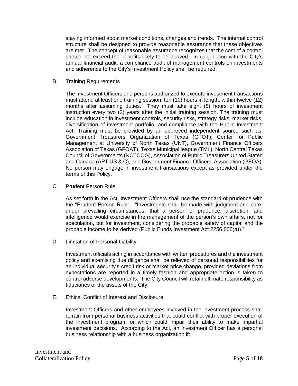staying informed about market conditions, changes and trends. The internal control structure shall be designed to provide reasonable assurance that these objectives are met. The concept of reasonable assurance recognizes that the cost of a control should not exceed the benefits likely to be derived. In conjunction with the City's annual financial audit, a compliance audit of management controls on investments and adherence to the City's Investment Policy shall be required.

B. Training Requirements

The Investment Officers and persons authorized to execute investment transactions must attend at least one training session, ten (10) hours in length, within twelve (12) months after assuming duties. They must take eight (8) hours of investment instruction every two (2) years after the initial training session. The training must include education in investment controls, security risks, strategy risks, market risks, diversification of investment portfolio, and compliance with the Public Investment Act. Training must be provided by an approved independent source such as: Government Treasurers Organization of Texas (GTOT), Center for Public Management at University of North Texas (UNT), Government Finance Officers Association of Texas (GFOAT), Texas Municipal league (TML), North Central Texas Council of Governments (NCTCOG), Association of Public Treasurers United Stated and Canada (APT US & C), and Government Finance Officers' Association (GFOA). No person may engage in investment transactions except as provided under the terms of this Policy.

C. Prudent Person Rule

As set forth in the Act, Investment Officers shall use the standard of prudence with the "Prudent Person Rule". "Investments shall be made with judgment and care, under prevailing circumstances, that a person of prudence, discretion, and intelligence would exercise in the management of the person's own affairs, not for speculation, but for investment, considering the probable safety of capital and the probable income to be derived (Public Funds Investment Act 2256.006(a))."

D. Limitation of Personal Liability

Investment officials acting in accordance with written procedures and the investment policy and exercising due diligence shall be relieved of personal responsibilities for an individual security's credit risk or market price change, provided deviations from expectations are reported in a timely fashion and appropriate action is taken to control adverse developments. The City Council will retain ultimate responsibility as fiduciaries of the assets of the City.

E. Ethics, Conflict of Interest and Disclosure

Investment Officers and other employees involved in the investment process shall refrain from personal business activities that could conflict with proper execution of the investment program, or which could impair their ability to make impartial investment decisions. According to the Act, an Investment Officer has a personal business relationship with a business organization if: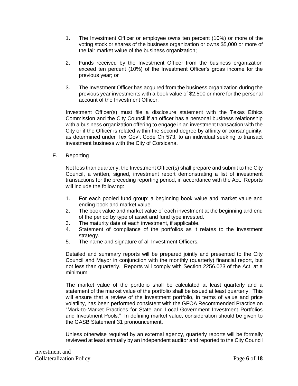- 1. The Investment Officer or employee owns ten percent (10%) or more of the voting stock or shares of the business organization or owns \$5,000 or more of the fair market value of the business organization;
- 2. Funds received by the Investment Officer from the business organization exceed ten percent (10%) of the Investment Officer's gross income for the previous year; or
- 3. The Investment Officer has acquired from the business organization during the previous year investments with a book value of \$2,500 or more for the personal account of the Investment Officer.

Investment Officer(s) must file a disclosure statement with the Texas Ethics Commission and the City Council if an officer has a personal business relationship with a business organization offering to engage in an investment transaction with the City or if the Officer is related within the second degree by affinity or consanguinity, as determined under Tex Gov't Code Ch 573, to an individual seeking to transact investment business with the City of Corsicana.

F. Reporting

Not less than quarterly, the Investment Officer(s) shall prepare and submit to the City Council, a written, signed, investment report demonstrating a list of investment transactions for the preceding reporting period, in accordance with the Act. Reports will include the following:

- 1. For each pooled fund group: a beginning book value and market value and ending book and market value.
- 2. The book value and market value of each investment at the beginning and end of the period by type of asset and fund type invested.
- 3. The maturity date of each investment, if applicable.
- 4. Statement of compliance of the portfolios as it relates to the investment strategy.
- 5. The name and signature of all Investment Officers.

Detailed and summary reports will be prepared jointly and presented to the City Council and Mayor in conjunction with the monthly (quarterly) financial report, but not less than quarterly. Reports will comply with Section 2256.023 of the Act, at a minimum.

The market value of the portfolio shall be calculated at least quarterly and a statement of the market value of the portfolio shall be issued at least quarterly. This will ensure that a review of the investment portfolio, in terms of value and price volatility, has been performed consistent with the GFOA Recommended Practice on "Mark-to-Market Practices for State and Local Government Investment Portfolios and Investment Pools." In defining market value, consideration should be given to the GASB Statement 31 pronouncement.

Unless otherwise required by an external agency, quarterly reports will be formally reviewed at least annually by an independent auditor and reported to the City Council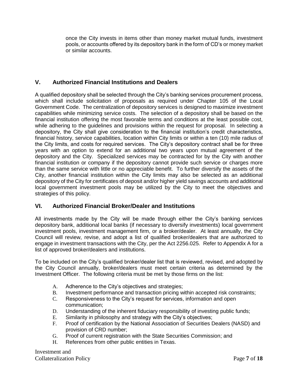once the City invests in items other than money market mutual funds, investment pools, or accounts offered by its depository bank in the form of CD's or money market or similar accounts.

# **V. Authorized Financial Institutions and Dealers**

A qualified depository shall be selected through the City's banking services procurement process, which shall include solicitation of proposals as required under Chapter 105 of the Local Government Code. The centralization of depository services is designed to maximize investment capabilities while minimizing service costs. The selection of a depository shall be based on the financial institution offering the most favorable terms and conditions at the least possible cost, while adhering to the guidelines and provisions within the request for proposal. In selecting a depository, the City shall give consideration to the financial institution's credit characteristics, financial history, service capabilities, location within City limits or within a ten (10) mile radius of the City limits, and costs for required services. The City's depository contract shall be for three years with an option to extend for an additional two years upon mutual agreement of the depository and the City. Specialized services may be contracted for by the City with another financial institution or company if the depository cannot provide such service or charges more than the same service with little or no appreciable benefit. To further diversify the assets of the City, another financial institution within the City limits may also be selected as an additional depository of the City for certificates of deposit and/or higher yield savings accounts and additional local government investment pools may be utilized by the City to meet the objectives and strategies of this policy.

## **VI. Authorized Financial Broker/Dealer and Institutions**

All investments made by the City will be made through either the City's banking services depository bank, additional local banks (if necessary to diversify investments) local government investment pools, investment management firm, or a broker/dealer. At least annually, the City Council will review, revise, and adopt a list of qualified broker/dealers that are authorized to engage in investment transactions with the City, per the Act 2256.025. Refer to Appendix A for a list of approved broker/dealers and institutions.

To be included on the City's qualified broker/dealer list that is reviewed, revised, and adopted by the City Council annually, broker/dealers must meet certain criteria as determined by the Investment Officer. The following criteria must be met by those firms on the list:

- A. Adherence to the City's objectives and strategies;
- B. Investment performance and transaction pricing within accepted risk constraints;
- C. Responsiveness to the City's request for services, information and open communication;
- D. Understanding of the inherent fiduciary responsibility of investing public funds;
- E. Similarity in philosophy and strategy with the City's objectives;
- F. Proof of certification by the National Association of Securities Dealers (NASD) and provision of CRD number;
- G. Proof of current registration with the State Securities Commission; and
- H. References from other public entities in Texas.

Investment and Collateralization Policy Page **7** of **18**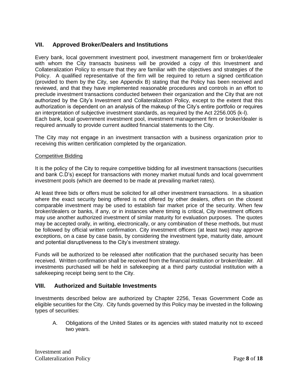## **VII. Approved Broker/Dealers and Institutions**

Every bank, local government investment pool, investment management firm or broker/dealer with whom the City transacts business will be provided a copy of this Investment and Collateralization Policy to ensure that they are familiar with the objectives and strategies of the Policy. A qualified representative of the firm will be required to return a signed certification (provided to them by the City, see Appendix B) stating that the Policy has been received and reviewed, and that they have implemented reasonable procedures and controls in an effort to preclude investment transactions conducted between their organization and the City that are not authorized by the City's Investment and Collateralization Policy, except to the extent that this authorization is dependent on an analysis of the makeup of the City's entire portfolio or requires an interpretation of subjective investment standards, as required by the Act 2256.005 (k-l). Each bank, local government investment pool, investment management firm or broker/dealer is required annually to provide current audited financial statements to the City.

The City may not engage in an investment transaction with a business organization prior to receiving this written certification completed by the organization.

#### Competitive Bidding

It is the policy of the City to require competitive bidding for all investment transactions (securities and bank C.D's) except for transactions with money market mutual funds and local government investment pools (which are deemed to be made at prevailing market rates).

At least three bids or offers must be solicited for all other investment transactions. In a situation where the exact security being offered is not offered by other dealers, offers on the closest comparable investment may be used to establish fair market price of the security. When few broker/dealers or banks, if any, or in instances where timing is critical, City investment officers may use another authorized investment of similar maturity for evaluation purposes. The quotes may be accepted orally, in writing, electronically, or any combination of these methods, but must be followed by official written confirmation. City investment officers (at least two) may approve exceptions, on a case by case basis, by considering the investment type, maturity date, amount and potential disruptiveness to the City's investment strategy.

Funds will be authorized to be released after notification that the purchased security has been received. Written confirmation shall be received from the financial institution or broker/dealer. All investments purchased will be held in safekeeping at a third party custodial institution with a safekeeping receipt being sent to the City.

#### **VIII. Authorized and Suitable Investments**

Investments described below are authorized by Chapter 2256, Texas Government Code as eligible securities for the City. City funds governed by this Policy may be invested in the following types of securities:

A. Obligations of the United States or its agencies with stated maturity not to exceed two years.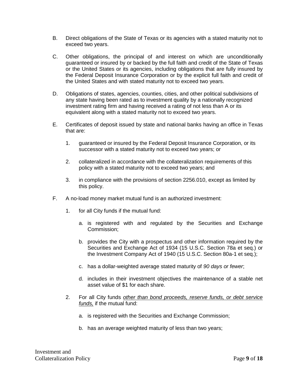- B. Direct obligations of the State of Texas or its agencies with a stated maturity not to exceed two years.
- C. Other obligations, the principal of and interest on which are unconditionally guaranteed or insured by or backed by the full faith and credit of the State of Texas or the United States or its agencies, including obligations that are fully insured by the Federal Deposit Insurance Corporation or by the explicit full faith and credit of the United States and with stated maturity not to exceed two years.
- D. Obligations of states, agencies, counties, cities, and other political subdivisions of any state having been rated as to investment quality by a nationally recognized investment rating firm and having received a rating of not less than A or its equivalent along with a stated maturity not to exceed two years.
- E. Certificates of deposit issued by state and national banks having an office in Texas that are:
	- 1. guaranteed or insured by the Federal Deposit Insurance Corporation, or its successor with a stated maturity not to exceed two years; or
	- 2. collateralized in accordance with the collateralization requirements of this policy with a stated maturity not to exceed two years; and
	- 3. in compliance with the provisions of section 2256.010, except as limited by this policy.
- F. A no-load money market mutual fund is an authorized investment:
	- 1. for all City funds if the mutual fund:
		- a. is registered with and regulated by the Securities and Exchange Commission;
		- b. provides the City with a prospectus and other information required by the Securities and Exchange Act of 1934 (15 U.S.C. Section 78a et seq.) or the Investment Company Act of 1940 (15 U.S.C. Section 80a-1 et seq.);
		- c. has a dollar-weighted average stated maturity of *90 days or fewer*;
		- d. includes in their investment objectives the maintenance of a stable net asset value of \$1 for each share.
	- 2. For all City funds *other than bond proceeds, reserve funds, or debt service funds,* if the mutual fund:
		- a. is registered with the Securities and Exchange Commission;
		- b. has an average weighted maturity of less than two years;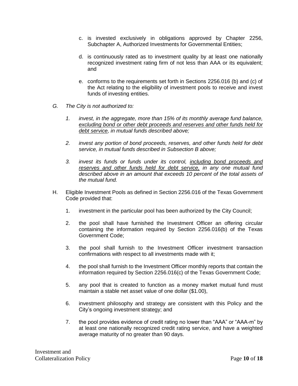- c. is invested exclusively in obligations approved by Chapter 2256, Subchapter A, Authorized Investments for Governmental Entities;
- d. is continuously rated as to investment quality by at least one nationally recognized investment rating firm of not less than AAA or its equivalent; and
- e. conforms to the requirements set forth in Sections 2256.016 (b) and (c) of the Act relating to the eligibility of investment pools to receive and invest funds of investing entities.
- *G. The City is not authorized to:*
	- *1. invest, in the aggregate, more than 15% of its monthly average fund balance, excluding bond or other debt proceeds and reserves and other funds held for debt service, in mutual funds described above;*
	- *2. invest any portion of bond proceeds, reserves, and other funds held for debt service, in mutual funds described in Subsection B above;*
	- *3. invest its funds or funds under its control, including bond proceeds and reserves and other funds held for debt service, in any one mutual fund described above in an amount that exceeds 10 percent of the total assets of the mutual fund.*
- H. Eligible Investment Pools as defined in Section 2256.016 of the Texas Government Code provided that:
	- 1. investment in the particular pool has been authorized by the City Council;
	- 2. the pool shall have furnished the Investment Officer an offering circular containing the information required by Section 2256.016(b) of the Texas Government Code;
	- 3. the pool shall furnish to the Investment Officer investment transaction confirmations with respect to all investments made with it;
	- 4. the pool shall furnish to the Investment Officer monthly reports that contain the information required by Section 2256.016(c) of the Texas Government Code;
	- 5. any pool that is created to function as a money market mutual fund must maintain a stable net asset value of one dollar (\$1.00),
	- 6. investment philosophy and strategy are consistent with this Policy and the City's ongoing investment strategy; and
	- 7. the pool provides evidence of credit rating no lower than "AAA" or "AAA-m" by at least one nationally recognized credit rating service, and have a weighted average maturity of no greater than 90 days.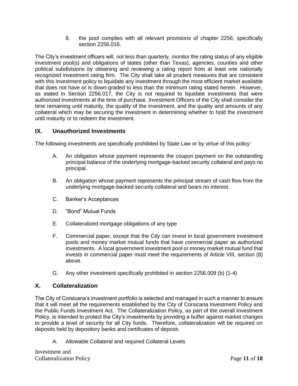8. the pool complies with all relevant provisions of chapter 2256, specifically section 2256.016.

The City's investment officers will, not less than quarterly, monitor the rating status of any eligible investment pool(s) and obligations of states (other than Texas), agencies, counties and other political subdivisions by obtaining and reviewing a rating report from at least one nationally recognized investment rating firm. The City shall take all prudent measures that are consistent with this investment policy to liquidate any investment through the most efficient market available that does not have or is down-graded to less than the minimum rating stated herein. However, as stated in Section 2256.017, the City is not required to liquidate investments that were authorized investments at the time of purchase. Investment Officers of the City shall consider the time remaining until maturity, the quality of the investment, and the quality and amounts of any collateral which may be securing the investment in determining whether to hold the investment until maturity or to redeem the investment.

# **IX. Unauthorized Investments**

The following investments are specifically prohibited by State Law or by virtue of this policy:

- A. An obligation whose payment represents the coupon payment on the outstanding principal balance of the underlying mortgage-backed security collateral and pays no principal.
- B. An obligation whose payment represents the principal stream of cash flow from the underlying mortgage-backed security collateral and bears no interest.
- C. Banker's Acceptances
- D. "Bond" Mutual Funds
- E. Collateralized mortgage obligations of any type
- F. Commercial paper, except that the City can invest in local government investment pools and money market mutual funds that have commercial paper as authorized investments. A local government investment pool or money market mutual fund that invests in commercial paper must meet the requirements of Article VIII, section (8) above.
- G. Any other investment specifically prohibited in section 2256.009 (b) (1-4)

## **X. Collateralization**

The City of Corsicana's investment portfolio is selected and managed in such a manner to ensure that it will meet all the requirements established by the City of Corsicana Investment Policy and the Public Funds Investment Act. The Collateralization Policy, as part of the overall Investment Policy, is intended to protect the City's investments by providing a buffer against market changes to provide a level of security for all City funds. Therefore, collateralization will be required on deposits held by depository banks and certificates of deposit.

A. Allowable Collateral and required Collateral Levels

Investment and Collateralization Policy Page **11** of **18**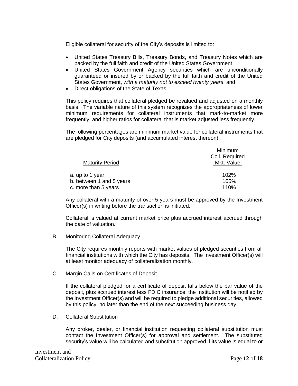Eligible collateral for security of the City's deposits is limited to:

- United States Treasury Bills, Treasury Bonds, and Treasury Notes which are backed by the full faith and credit of the United States Government;
- United States Government Agency securities which are unconditionally guaranteed or insured by or backed by the full faith and credit of the United States Government, *with a maturity not to exceed twenty years*; and
- Direct obligations of the State of Texas.

This policy requires that collateral pledged be revalued and adjusted on a monthly basis. The variable nature of this system recognizes the appropriateness of lower minimum requirements for collateral instruments that mark-to-market more frequently, and higher ratios for collateral that is market adjusted less frequently.

The following percentages are minimum market value for collateral instruments that are pledged for City deposits (and accumulated interest thereon):

|                          | Minimum                        |  |
|--------------------------|--------------------------------|--|
| <b>Maturity Period</b>   | Coll. Required<br>-Mkt. Value- |  |
|                          |                                |  |
| a. up to 1 year          | 102%                           |  |
| b. between 1 and 5 years | 105%                           |  |
| c. more than 5 years     | 110%                           |  |
|                          |                                |  |

Any collateral with a maturity of over 5 years must be approved by the Investment Officer(s) in writing before the transaction is initiated.

Collateral is valued at current market price plus accrued interest accrued through the date of valuation.

B. Monitoring Collateral Adequacy

The City requires monthly reports with market values of pledged securities from all financial institutions with which the City has deposits. The Investment Officer(s) will at least monitor adequacy of collateralization monthly.

C. Margin Calls on Certificates of Deposit

If the collateral pledged for a certificate of deposit falls below the par value of the deposit, plus accrued interest less FDIC insurance, the Institution will be notified by the Investment Officer(s) and will be required to pledge additional securities, allowed by this policy, no later than the end of the next succeeding business day.

D. Collateral Substitution

Any broker, dealer, or financial institution requesting collateral substitution must contact the Investment Officer(s) for approval and settlement. The substituted security's value will be calculated and substitution approved if its value is equal to or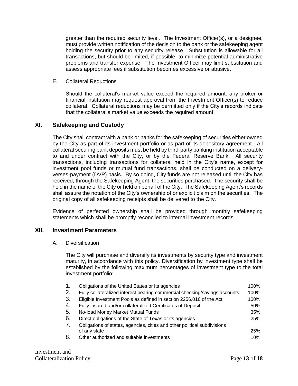greater than the required security level. The Investment Officer(s), or a designee, must provide written notification of the decision to the bank or the safekeeping agent holding the security prior to any security release. Substitution is allowable for all transactions, but should be limited, if possible, to minimize potential administrative problems and transfer expense. The Investment Officer may limit substitution and assess appropriate fees if substitution becomes excessive or abusive.

E. Collateral Reductions

Should the collateral's market value exceed the required amount, any broker or financial institution may request approval from the Investment Officer(s) to reduce collateral. Collateral reductions may be permitted only if the City's records indicate that the collateral's market value exceeds the required amount.

#### **XI. Safekeeping and Custody**

The City shall contract with a bank or banks for the safekeeping of securities either owned by the City as part of its investment portfolio or as part of its depository agreement. All collateral securing bank deposits must be held by third-party banking institution acceptable to and under contract with the City, or by the Federal Reserve Bank. All security transactions, including transactions for collateral held in the City's name, except for investment pool funds or mutual fund transactions, shall be conducted on a deliveryverses-payment (DVP) basis. By so doing, City funds are not released until the City has received, through the Safekeeping Agent, the securities purchased. The security shall be held in the name of the City or held on behalf of the City. The Safekeeping Agent's records shall assure the notation of the City's ownership of or explicit claim on the securities. The original copy of all safekeeping receipts shall be delivered to the City.

Evidence of perfected ownership shall be provided through monthly safekeeping statements which shall be promptly reconciled to internal investment records.

#### **XII. Investment Parameters**

A. Diversification

The City will purchase and diversify its investments by security type and investment maturity, in accordance with this policy. Diversification by investment type shall be established by the following maximum percentages of investment type to the total investment portfolio:

| 1. | Obligations of the United States or its agencies                           | 100% |
|----|----------------------------------------------------------------------------|------|
| 2. | Fully collateralized interest bearing commercial checking/savings accounts | 100% |
| 3. | Eligible Investment Pools as defined in section 2256.016 of the Act        | 100% |
| 4. | Fully insured and/or collateralized Certificates of Deposit                | 50%  |
| 5. | No-load Money Market Mutual Funds                                          | 35%  |
| 6. | Direct obligations of the State of Texas or its agencies                   | 25%  |
| 7. | Obligations of states, agencies, cities and other political subdivisions   |      |
|    | of any state                                                               | 25%  |
| 8. | Other authorized and suitable investments                                  | 10%  |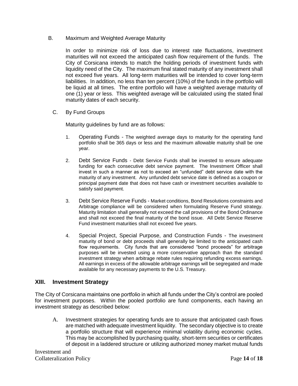B. Maximum and Weighted Average Maturity

In order to minimize risk of loss due to interest rate fluctuations, investment maturities will not exceed the anticipated cash flow requirement of the funds. The City of Corsicana intends to match the holding periods of investment funds with liquidity need of the City. The maximum final stated maturity of any investment shall not exceed five years. All long-term maturities will be intended to cover long-term liabilities. In addition, no less than ten percent (10%) of the funds in the portfolio will be liquid at all times. The entire portfolio will have a weighted average maturity of one (1) year or less. This weighted average will be calculated using the stated final maturity dates of each security.

C. By Fund Groups

Maturity guidelines by fund are as follows:

- 1. Operating Funds The weighted average days to maturity for the operating fund portfolio shall be 365 days or less and the maximum allowable maturity shall be one year.
- 2. Debt Service Funds Debt Service Funds shall be invested to ensure adequate funding for each consecutive debt service payment. The Investment Officer shall invest in such a manner as not to exceed an "unfunded" debt service date with the maturity of any investment. Any unfunded debt service date is defined as a coupon or principal payment date that does not have cash or investment securities available to satisfy said payment.
- 3. Debt Service Reserve Funds Market conditions, Bond Resolutions constraints and Arbitrage compliance will be considered when formulating Reserve Fund strategy. Maturity limitation shall generally not exceed the call provisions of the Bond Ordinance and shall not exceed the final maturity of the bond issue. All Debt Service Reserve Fund investment maturities shall not exceed five years.
- 4. Special Project, Special Purpose, and Construction Funds The investment maturity of bond or debt proceeds shall generally be limited to the anticipated cash flow requirements. City funds that are considered "bond proceeds" for arbitrage purposes will be invested using a more conservative approach than the standard investment strategy when arbitrage rebate rules requiring refunding excess earnings. All earnings in excess of the allowable arbitrage earnings will be segregated and made available for any necessary payments to the U.S. Treasury.

#### **XIII. Investment Strategy**

The City of Corsicana maintains one portfolio in which all funds under the City's control are pooled for investment purposes. Within the pooled portfolio are fund components, each having an investment strategy as described below:

A. Investment strategies for operating funds are to assure that anticipated cash flows are matched with adequate investment liquidity. The secondary objective is to create a portfolio structure that will experience minimal volatility during economic cycles. This may be accomplished by purchasing quality, short-term securities or certificates of deposit in a laddered structure or utilizing authorized money market mutual funds

Investment and Collateralization Policy Page **14** of **18**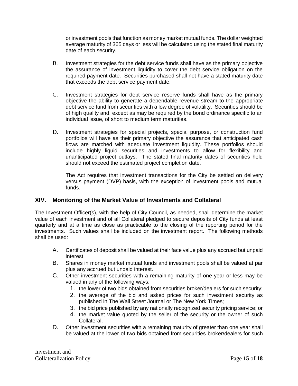or investment pools that function as money market mutual funds. The dollar weighted average maturity of 365 days or less will be calculated using the stated final maturity date of each security.

- B. Investment strategies for the debt service funds shall have as the primary objective the assurance of investment liquidity to cover the debt service obligation on the required payment date. Securities purchased shall not have a stated maturity date that exceeds the debt service payment date.
- C. Investment strategies for debt service reserve funds shall have as the primary objective the ability to generate a dependable revenue stream to the appropriate debt service fund from securities with a low degree of volatility. Securities should be of high quality and, except as may be required by the bond ordinance specific to an individual issue, of short to medium term maturities.
- D. Investment strategies for special projects, special purpose, or construction fund portfolios will have as their primary objective the assurance that anticipated cash flows are matched with adequate investment liquidity. These portfolios should include highly liquid securities and investments to allow for flexibility and unanticipated project outlays. The stated final maturity dates of securities held should not exceed the estimated project completion date.

The Act requires that investment transactions for the City be settled on delivery versus payment (DVP) basis, with the exception of investment pools and mutual funds.

## **XIV. Monitoring of the Market Value of Investments and Collateral**

The Investment Officer(s), with the help of City Council, as needed, shall determine the market value of each investment and of all Collateral pledged to secure deposits of City funds at least quarterly and at a time as close as practicable to the closing of the reporting period for the investments. Such values shall be included on the investment report. The following methods shall be used:

- A. Certificates of deposit shall be valued at their face value plus any accrued but unpaid interest.
- B. Shares in money market mutual funds and investment pools shall be valued at par plus any accrued but unpaid interest.
- C. Other investment securities with a remaining maturity of one year or less may be valued in any of the following ways:
	- 1. the lower of two bids obtained from securities broker/dealers for such security;
	- 2. the average of the bid and asked prices for such investment security as published in The Wall Street Journal or The New York Times;
	- 3. the bid price published by any nationally recognized security pricing service; or
	- 4. the market value quoted by the seller of the security or the owner of such Collateral.
- D. Other investment securities with a remaining maturity of greater than one year shall be valued at the lower of two bids obtained from securities broker/dealers for such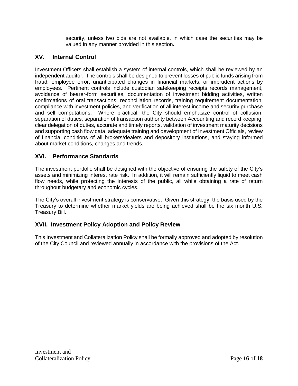security, unless two bids are not available, in which case the securities may be valued in any manner provided in this section**.**

# **XV. Internal Control**

Investment Officers shall establish a system of internal controls, which shall be reviewed by an independent auditor. The controls shall be designed to prevent losses of public funds arising from fraud, employee error, unanticipated changes in financial markets, or imprudent actions by employees. Pertinent controls include custodian safekeeping receipts records management, avoidance of bearer-form securities, documentation of investment bidding activities, written confirmations of oral transactions, reconciliation records, training requirement documentation, compliance with investment policies, and verification of all interest income and security purchase and sell computations. Where practical, the City should emphasize control of collusion, separation of duties, separation of transaction authority between Accounting and record keeping, clear delegation of duties, accurate and timely reports, validation of investment maturity decisions and supporting cash flow data, adequate training and development of Investment Officials, review of financial conditions of all brokers/dealers and depository institutions, and staying informed about market conditions, changes and trends.

## **XVI. Performance Standards**

The investment portfolio shall be designed with the objective of ensuring the safety of the City's assets and minimizing interest rate risk. In addition, it will remain sufficiently liquid to meet cash flow needs, while protecting the interests of the public, all while obtaining a rate of return throughout budgetary and economic cycles.

The City's overall investment strategy is conservative. Given this strategy, the basis used by the Treasury to determine whether market yields are being achieved shall be the six month U.S. Treasury Bill.

## **XVII. Investment Policy Adoption and Policy Review**

This Investment and Collateralization Policy shall be formally approved and adopted by resolution of the City Council and reviewed annually in accordance with the provisions of the Act.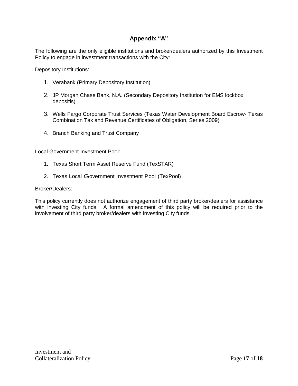# **Appendix "A"**

The following are the only eligible institutions and broker/dealers authorized by this Investment Policy to engage in investment transactions with the City:

Depository Institutions:

- 1. Verabank (Primary Depository Institution)
- 2. JP Morgan Chase Bank, N.A. (Secondary Depository Institution for EMS lockbox depositis)
- 3. Wells Fargo Corporate Trust Services (Texas Water Development Board Escrow- Texas Combination Tax and Revenue Certificates of Obligation, Series 2009)
- 4. Branch Banking and Trust Company

Local Government Investment Pool:

- 1. Texas Short Term Asset Reserve Fund (TexSTAR)
- 2. Texas Local Government Investment Pool (TexPool)

#### Broker/Dealers:

This policy currently does not authorize engagement of third party broker/dealers for assistance with investing City funds. A formal amendment of this policy will be required prior to the involvement of third party broker/dealers with investing City funds.